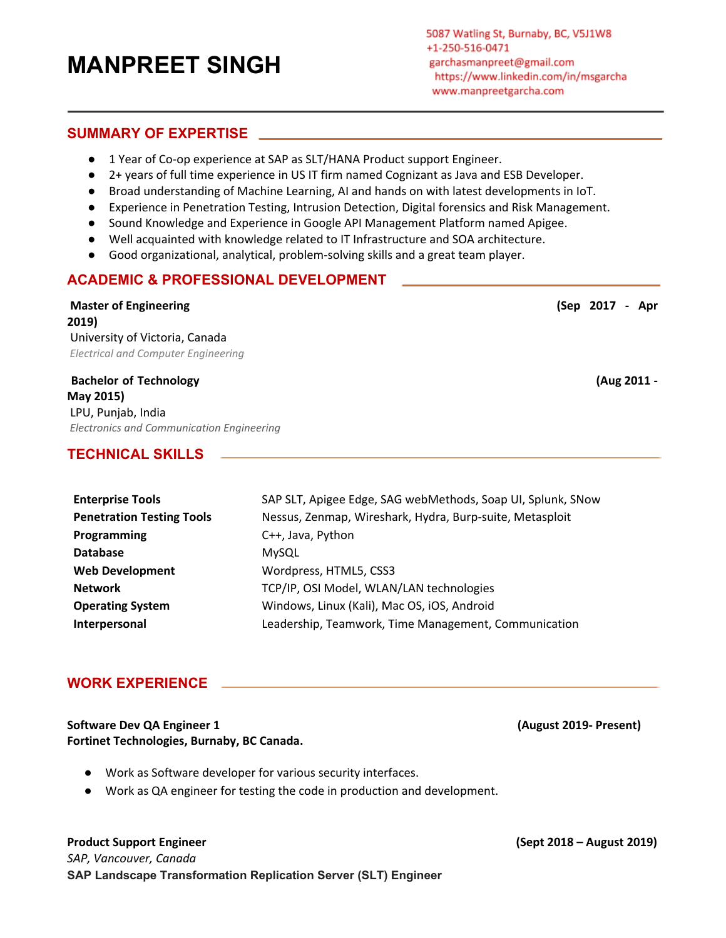# **MANPREET SINGH**

#### **SUMMARY OF EXPERTISE**

- 1 Year of Co-op experience at SAP as SLT/HANA Product support Engineer.
- 2+ years of full time experience in US IT firm named Cognizant as Java and ESB Developer.
- Broad understanding of Machine Learning, AI and hands on with latest developments in IoT.
- Experience in Penetration Testing, Intrusion Detection, Digital forensics and Risk Management.
- Sound Knowledge and Experience in Google API Management Platform named Apigee.
- Well acquainted with knowledge related to IT Infrastructure and SOA architecture.
- Good organizational, analytical, problem-solving skills and a great team player.

### **ACADEMIC & PROFESSIONAL DEVELOPMENT**

**Master of Engineering (Sep 2017 - Apr 2019)** University of Victoria, Canada *Electrical and Computer Engineering*

**Bachelor of Technology (Aug 2011 - May 2015)** LPU, Punjab, India *Electronics and Communication Engineering*

## **TECHNICAL SKILLS**

| <b>Enterprise Tools</b>          | SAP SLT, Apigee Edge, SAG webMethods, Soap UI, Splunk, SNow |
|----------------------------------|-------------------------------------------------------------|
| <b>Penetration Testing Tools</b> | Nessus, Zenmap, Wireshark, Hydra, Burp-suite, Metasploit    |
| Programming                      | C++, Java, Python                                           |
| <b>Database</b>                  | <b>MySQL</b>                                                |
| <b>Web Development</b>           | Wordpress, HTML5, CSS3                                      |
| <b>Network</b>                   | TCP/IP, OSI Model, WLAN/LAN technologies                    |
| <b>Operating System</b>          | Windows, Linux (Kali), Mac OS, iOS, Android                 |
| Interpersonal                    | Leadership, Teamwork, Time Management, Communication        |

### **WORK EXPERIENCE**

#### **Software Dev QA Engineer 1 (August 2019- Present) Fortinet Technologies, Burnaby, BC Canada.**

- Work as Software developer for various security interfaces.
- Work as QA engineer for testing the code in production and development.

#### **Product Support Engineer (Sept 2018 – August 2019)**

*SAP, Vancouver, Canada* **SAP Landscape Transformation Replication Server (SLT) Engineer**